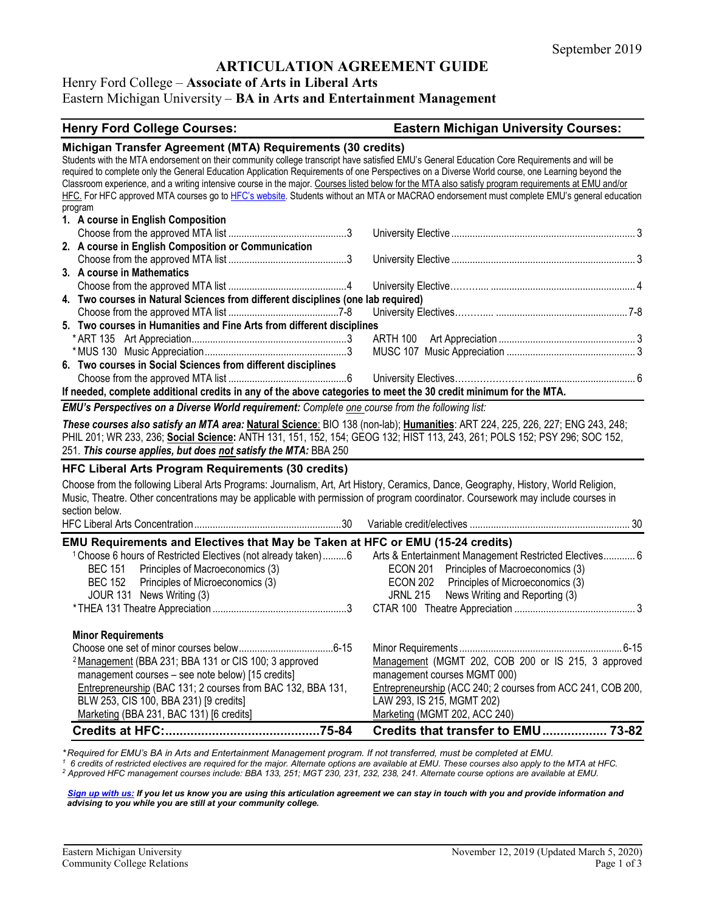# **ARTICULATION AGREEMENT GUIDE**

#### Henry Ford College – **Associate of Arts in Liberal Arts**

### Eastern Michigan University – **BA in Arts and Entertainment Management**

### **Henry Ford College Courses: Eastern Michigan University Courses: Michigan Transfer Agreement (MTA) Requirements (30 credits)** Students with the MTA endorsement on their community college transcript have satisfied EMU's General Education Core Requirements and will be required to complete only the General Education Application Requirements of one Perspectives on a Diverse World course, one Learning beyond the Classroom experience, and a writing intensive course in the major. Courses listed below for the MTA also satisfy program requirements at EMU and/or HFC. For HFC approved MTA courses go t[o HFC's website.](https://www.hfcc.edu/registration-and-records/mta) Students without an MTA or MACRAO endorsement must complete EMU's general education program **1. A course in English Composition** Choose from the approved MTA list .............................................3 University Elective ...................................................................... 3 **2. A course in English Composition or Communication** Choose from the approved MTA list .............................................3 University Elective ...................................................................... 3 **3. A course in Mathematics** Choose from the approved MTA list .............................................4 University Elective……….... ....................................................... 4 **4. Two courses in Natural Sciences from different disciplines (one lab required)** Choose from the approved MTA list ..........................................7-8 University Electives……….... .................................................. 7-8 **5. Two courses in Humanities and Fine Arts from different disciplines** \* ART 135 Art Appreciation...........................................................3 ARTH 100 Art Appreciation .................................................... 3 \*MUS 130 Music Appreciation......................................................3 MUSC 107 Music Appreciation ................................................. 3 **6. Two courses in Social Sciences from different disciplines** Choose from the approved MTA list .............................................6 University Electives…………………. .......................................... 6 **If needed, complete additional credits in any of the above categories to meet the 30 credit minimum for the MTA.** *EMU's Perspectives on a Diverse World requirement: Complete one course from the following list: These courses also satisfy an MTA area:* **Natural Science**: BIO 138 (non-lab); **Humanities**: ART 224, 225, 226, 227; ENG 243, 248; PHIL 201; WR 233, 236; **Social Science:** ANTH 131, 151, 152, 154; GEOG 132; HIST 113, 243, 261; POLS 152; PSY 296; SOC 152, 251. *This course applies, but does not satisfy the MTA:* BBA 250 **HFC Liberal Arts Program Requirements (30 credits)** Choose from the following Liberal Arts Programs: Journalism, Art, Art History, Ceramics, Dance, Geography, History, World Religion, Music, Theatre. Other concentrations may be applicable with permission of program coordinator. Coursework may include courses in section below. HFC Liberal Arts Concentration........................................................30 Variable credit/electives ............................................................. 30 **EMU Requirements and Electives that May be Taken at HFC or EMU (15-24 credits)** <sup>1</sup> Choose 6 hours of Restricted Electives (not already taken).........6 Arts & Entertainment Management Restricted Electives............ 6 BEC 151 Principles of Macroeconomics (3) ECON 201 Principles of Macroeconomics (3)<br>BEC 152 Principles of Microeconomics (3) ECON 202 Principles of Microeconomics (3) BEC 152 Principles of Microeconomics (3) ECON 202 Principles of Microeconomics (3) JOUR 131 News Writing (3) JRNL 215 News Writing and Reporting (3) \*THEA 131 Theatre Appreciation ...................................................3 CTAR 100 Theatre Appreciation .............................................. 3 **Minor Requirements** Choose one set of minor courses below....................................6-15 Minor Requirements .............................................................. 6-15 2Management (BBA 231; BBA 131 or CIS 100; 3 approved Management (MGMT 202, COB 200 or IS 215, 3 approved management courses – see note below) [15 credits] management courses MGMT 000)<br> **Entrepreneurship** (BAC 131; 2 courses from BAC 132, BBA 131, Entrepreneurship (ACC 240; 2 cour Entrepreneurship (ACC 240; 2 courses from ACC 241, COB 200,

**Credits at HFC:...........................................75-84 Credits that transfer to EMU.................. 73-82**

\*Required for EMU's BA in Arts and Entertainment Management program. If not transferred, must be completed at EMU.<br>1<sub>.</sub> 6 credits of restricted electives are required for the major. Alternate options are available at EMU.

*<sup>2</sup> Approved HFC management courses include: BBA 133, 251; MGT 230, 231, 232, 238, 241. Alternate course options are available at EMU.*

BLW 253, CIS 100, BBA 231) [9 credits] LAW 293, IS 215, MGMT 202)<br>Marketing (BBA 231, BAC 131) [6 credits] Marketing (MGMT 202, ACC 240)

*[Sign up with us:](https://www.emich.edu/ccr/articulation-agreements/signup.php) If you let us know you are using this articulation agreement we can stay in touch with you and provide information and advising to you while you are still at your community college.*

Marketing (BBA 231, BAC 131) [6 credits]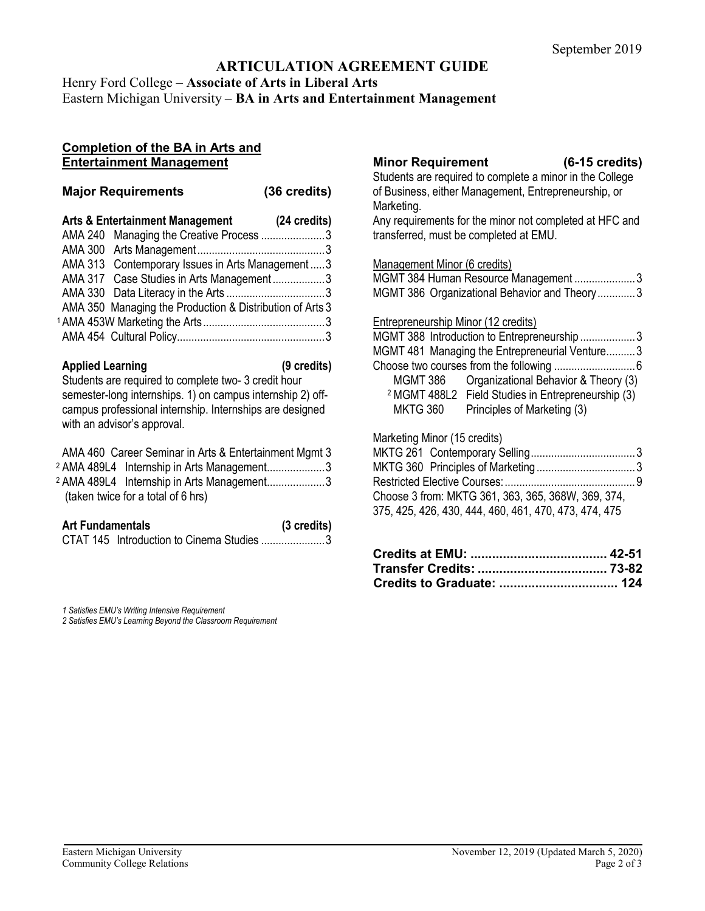# **ARTICULATION AGREEMENT GUIDE**

Henry Ford College – **Associate of Arts in Liberal Arts**

# Eastern Michigan University – **BA in Arts and Entertainment Management**

### **Completion of the BA in Arts and Entertainment Management**

| <b>Major Requirements</b>                                  | (36 credits) |
|------------------------------------------------------------|--------------|
| Arts & Entertainment Management                            | (24 credits) |
| AMA 240 Managing the Creative Process 3                    |              |
|                                                            |              |
| AMA 313 Contemporary Issues in Arts Management  3          |              |
| AMA 317 Case Studies in Arts Management3                   |              |
|                                                            |              |
| AMA 350 Managing the Production & Distribution of Arts 3   |              |
|                                                            |              |
|                                                            |              |
|                                                            |              |
| <b>Applied Learning</b>                                    | (9 credits)  |
| Students are required to complete two-3 credit hour        |              |
| semester-long internships. 1) on campus internship 2) off- |              |
| campus professional internship. Internships are designed   |              |
| with an advisor's approval.                                |              |
|                                                            |              |

|  | AMA 460 Career Seminar in Arts & Entertainment Mgmt 3 |  |
|--|-------------------------------------------------------|--|
|  | <sup>2</sup> AMA 489L4 Internship in Arts Management3 |  |
|  | <sup>2</sup> AMA 489L4 Internship in Arts Management3 |  |
|  | (taken twice for a total of 6 hrs)                    |  |
|  |                                                       |  |

| <b>Art Fundamentals</b> |                                           | (3 credits) |
|-------------------------|-------------------------------------------|-------------|
|                         | CTAT 145 Introduction to Cinema Studies 3 |             |

*1 Satisfies EMU's Writing Intensive Requirement 2 Satisfies EMU's Learning Beyond the Classroom Requirement*

# **Minor Requirement (6-15 credits)**

Students are required to complete a minor in the College of Business, either Management, Entrepreneurship, or Marketing. Any requirements for the minor not completed at HFC and transferred, must be completed at EMU.

### Management Minor (6 credits)

|  | MGMT 384 Human Resource Management 3         |  |
|--|----------------------------------------------|--|
|  | MGMT 386 Organizational Behavior and Theory3 |  |

### Entrepreneurship Minor (12 credits)

|                                                                                | MGMT 388 Introduction to Entrepreneurship3                    |  |
|--------------------------------------------------------------------------------|---------------------------------------------------------------|--|
|                                                                                | MGMT 481 Managing the Entrepreneurial Venture3                |  |
|                                                                                |                                                               |  |
|                                                                                | MGMT 386 Organizational Behavior & Theory (3)                 |  |
|                                                                                | <sup>2</sup> MGMT 488L2 Field Studies in Entrepreneurship (3) |  |
| <b>MKTG 360</b>                                                                | Principles of Marketing (3)                                   |  |
| $M_{\odot}$ aliga $M_{\odot}$ a $H_{\odot}$ a $\left(15, \ldots, 11, 1\right)$ |                                                               |  |
|                                                                                |                                                               |  |

### Marketing Minor (15 credits)

| Choose 3 from: MKTG 361, 363, 365, 368W, 369, 374,    |  |
|-------------------------------------------------------|--|
| 375, 425, 426, 430, 444, 460, 461, 470, 473, 474, 475 |  |